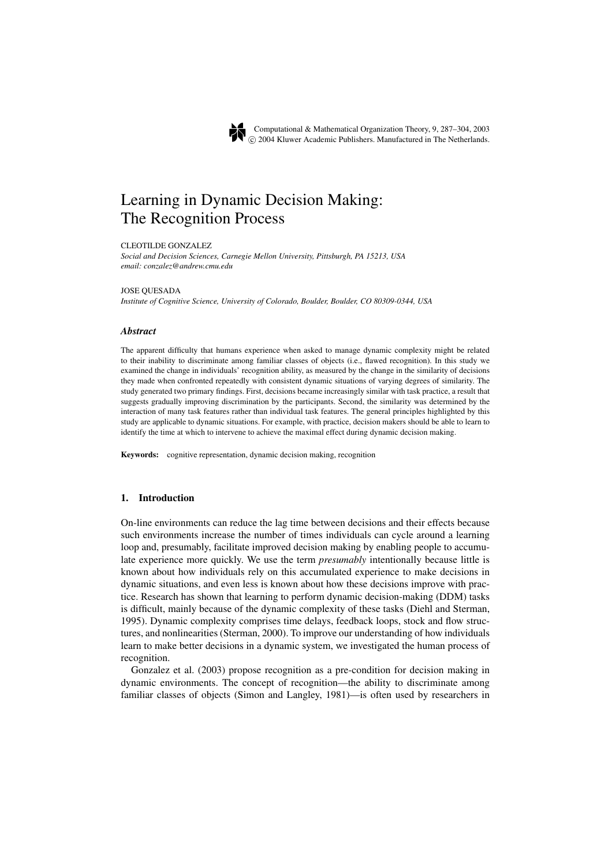# Learning in Dynamic Decision Making: The Recognition Process

CLEOTILDE GONZALEZ

*Social and Decision Sciences, Carnegie Mellon University, Pittsburgh, PA 15213, USA email: conzalez@andrew.cmu.edu*

JOSE QUESADA

*Institute of Cognitive Science, University of Colorado, Boulder, Boulder, CO 80309-0344, USA*

## *Abstract*

The apparent difficulty that humans experience when asked to manage dynamic complexity might be related to their inability to discriminate among familiar classes of objects (i.e., flawed recognition). In this study we examined the change in individuals' recognition ability, as measured by the change in the similarity of decisions they made when confronted repeatedly with consistent dynamic situations of varying degrees of similarity. The study generated two primary findings. First, decisions became increasingly similar with task practice, a result that suggests gradually improving discrimination by the participants. Second, the similarity was determined by the interaction of many task features rather than individual task features. The general principles highlighted by this study are applicable to dynamic situations. For example, with practice, decision makers should be able to learn to identify the time at which to intervene to achieve the maximal effect during dynamic decision making.

**Keywords:** cognitive representation, dynamic decision making, recognition

## **1. Introduction**

On-line environments can reduce the lag time between decisions and their effects because such environments increase the number of times individuals can cycle around a learning loop and, presumably, facilitate improved decision making by enabling people to accumulate experience more quickly. We use the term *presumably* intentionally because little is known about how individuals rely on this accumulated experience to make decisions in dynamic situations, and even less is known about how these decisions improve with practice. Research has shown that learning to perform dynamic decision-making (DDM) tasks is difficult, mainly because of the dynamic complexity of these tasks (Diehl and Sterman, 1995). Dynamic complexity comprises time delays, feedback loops, stock and flow structures, and nonlinearities (Sterman, 2000). To improve our understanding of how individuals learn to make better decisions in a dynamic system, we investigated the human process of recognition.

Gonzalez et al. (2003) propose recognition as a pre-condition for decision making in dynamic environments. The concept of recognition—the ability to discriminate among familiar classes of objects (Simon and Langley, 1981)—is often used by researchers in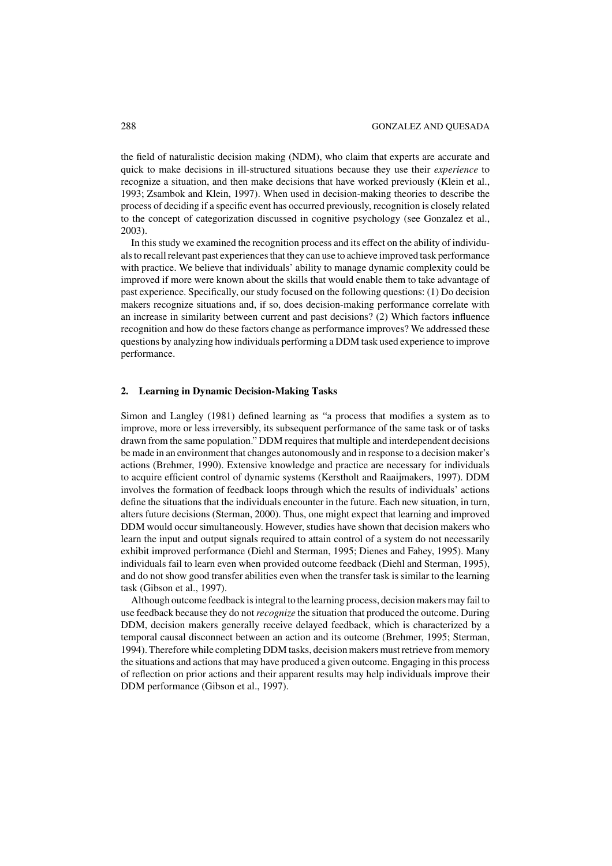the field of naturalistic decision making (NDM), who claim that experts are accurate and quick to make decisions in ill-structured situations because they use their *experience* to recognize a situation, and then make decisions that have worked previously (Klein et al., 1993; Zsambok and Klein, 1997). When used in decision-making theories to describe the process of deciding if a specific event has occurred previously, recognition is closely related to the concept of categorization discussed in cognitive psychology (see Gonzalez et al., 2003).

In this study we examined the recognition process and its effect on the ability of individuals to recall relevant past experiences that they can use to achieve improved task performance with practice. We believe that individuals' ability to manage dynamic complexity could be improved if more were known about the skills that would enable them to take advantage of past experience. Specifically, our study focused on the following questions: (1) Do decision makers recognize situations and, if so, does decision-making performance correlate with an increase in similarity between current and past decisions? (2) Which factors influence recognition and how do these factors change as performance improves? We addressed these questions by analyzing how individuals performing a DDM task used experience to improve performance.

## **2. Learning in Dynamic Decision-Making Tasks**

Simon and Langley (1981) defined learning as "a process that modifies a system as to improve, more or less irreversibly, its subsequent performance of the same task or of tasks drawn from the same population." DDM requires that multiple and interdependent decisions be made in an environment that changes autonomously and in response to a decision maker's actions (Brehmer, 1990). Extensive knowledge and practice are necessary for individuals to acquire efficient control of dynamic systems (Kerstholt and Raaijmakers, 1997). DDM involves the formation of feedback loops through which the results of individuals' actions define the situations that the individuals encounter in the future. Each new situation, in turn, alters future decisions (Sterman, 2000). Thus, one might expect that learning and improved DDM would occur simultaneously. However, studies have shown that decision makers who learn the input and output signals required to attain control of a system do not necessarily exhibit improved performance (Diehl and Sterman, 1995; Dienes and Fahey, 1995). Many individuals fail to learn even when provided outcome feedback (Diehl and Sterman, 1995), and do not show good transfer abilities even when the transfer task is similar to the learning task (Gibson et al., 1997).

Although outcome feedback is integral to the learning process, decision makers may fail to use feedback because they do not*recognize* the situation that produced the outcome. During DDM, decision makers generally receive delayed feedback, which is characterized by a temporal causal disconnect between an action and its outcome (Brehmer, 1995; Sterman, 1994). Therefore while completing DDM tasks, decision makers must retrieve from memory the situations and actions that may have produced a given outcome. Engaging in this process of reflection on prior actions and their apparent results may help individuals improve their DDM performance (Gibson et al., 1997).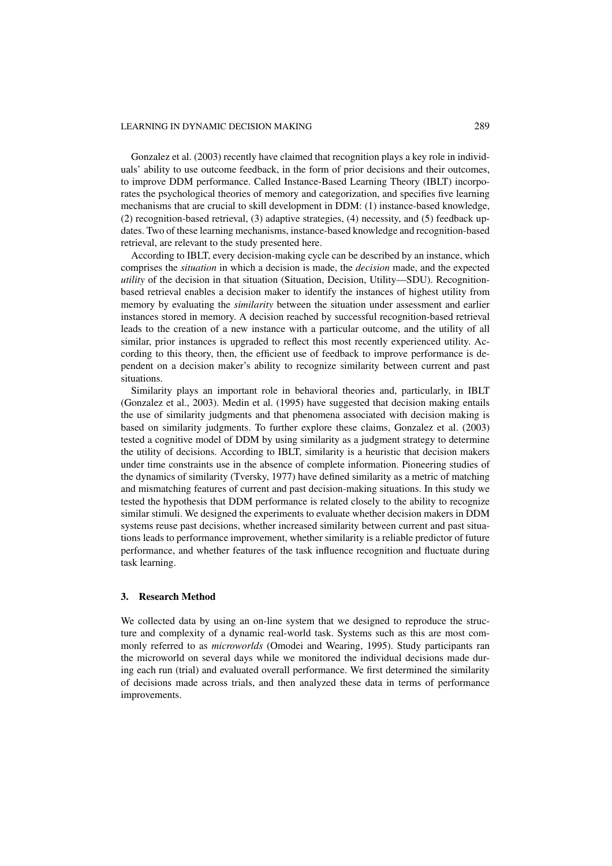#### LEARNING IN DYNAMIC DECISION MAKING 289

Gonzalez et al. (2003) recently have claimed that recognition plays a key role in individuals' ability to use outcome feedback, in the form of prior decisions and their outcomes, to improve DDM performance. Called Instance-Based Learning Theory (IBLT) incorporates the psychological theories of memory and categorization, and specifies five learning mechanisms that are crucial to skill development in DDM: (1) instance-based knowledge, (2) recognition-based retrieval, (3) adaptive strategies, (4) necessity, and (5) feedback updates. Two of these learning mechanisms, instance-based knowledge and recognition-based retrieval, are relevant to the study presented here.

According to IBLT, every decision-making cycle can be described by an instance, which comprises the *situation* in which a decision is made, the *decision* made, and the expected *utility* of the decision in that situation (Situation, Decision, Utility—SDU). Recognitionbased retrieval enables a decision maker to identify the instances of highest utility from memory by evaluating the *similarity* between the situation under assessment and earlier instances stored in memory. A decision reached by successful recognition-based retrieval leads to the creation of a new instance with a particular outcome, and the utility of all similar, prior instances is upgraded to reflect this most recently experienced utility. According to this theory, then, the efficient use of feedback to improve performance is dependent on a decision maker's ability to recognize similarity between current and past situations.

Similarity plays an important role in behavioral theories and, particularly, in IBLT (Gonzalez et al., 2003). Medin et al. (1995) have suggested that decision making entails the use of similarity judgments and that phenomena associated with decision making is based on similarity judgments. To further explore these claims, Gonzalez et al. (2003) tested a cognitive model of DDM by using similarity as a judgment strategy to determine the utility of decisions. According to IBLT, similarity is a heuristic that decision makers under time constraints use in the absence of complete information. Pioneering studies of the dynamics of similarity (Tversky, 1977) have defined similarity as a metric of matching and mismatching features of current and past decision-making situations. In this study we tested the hypothesis that DDM performance is related closely to the ability to recognize similar stimuli. We designed the experiments to evaluate whether decision makers in DDM systems reuse past decisions, whether increased similarity between current and past situations leads to performance improvement, whether similarity is a reliable predictor of future performance, and whether features of the task influence recognition and fluctuate during task learning.

## **3. Research Method**

We collected data by using an on-line system that we designed to reproduce the structure and complexity of a dynamic real-world task. Systems such as this are most commonly referred to as *microworlds* (Omodei and Wearing, 1995). Study participants ran the microworld on several days while we monitored the individual decisions made during each run (trial) and evaluated overall performance. We first determined the similarity of decisions made across trials, and then analyzed these data in terms of performance improvements.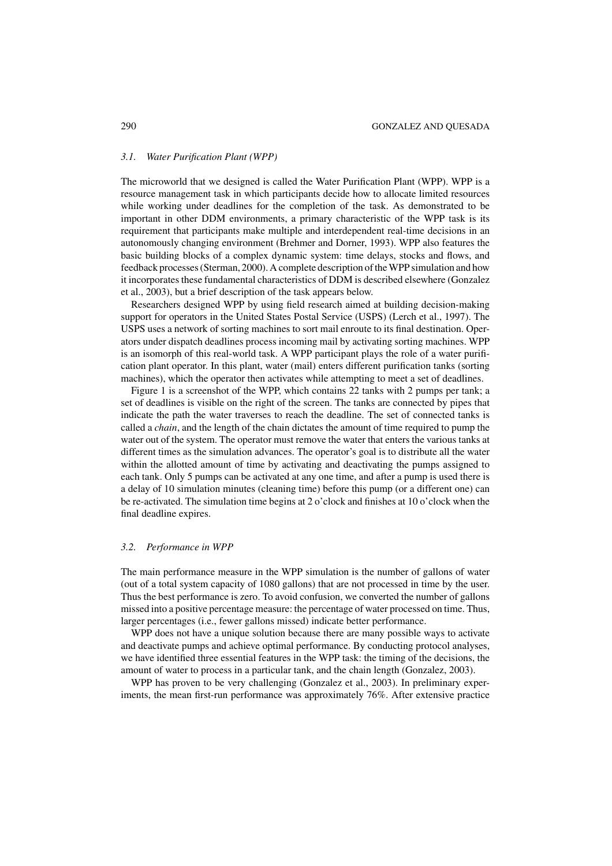## *3.1. Water Purification Plant (WPP)*

The microworld that we designed is called the Water Purification Plant (WPP). WPP is a resource management task in which participants decide how to allocate limited resources while working under deadlines for the completion of the task. As demonstrated to be important in other DDM environments, a primary characteristic of the WPP task is its requirement that participants make multiple and interdependent real-time decisions in an autonomously changing environment (Brehmer and Dorner, 1993). WPP also features the basic building blocks of a complex dynamic system: time delays, stocks and flows, and feedback processes (Sterman, 2000). A complete description of the WPP simulation and how it incorporates these fundamental characteristics of DDM is described elsewhere (Gonzalez et al., 2003), but a brief description of the task appears below.

Researchers designed WPP by using field research aimed at building decision-making support for operators in the United States Postal Service (USPS) (Lerch et al., 1997). The USPS uses a network of sorting machines to sort mail enroute to its final destination. Operators under dispatch deadlines process incoming mail by activating sorting machines. WPP is an isomorph of this real-world task. A WPP participant plays the role of a water purification plant operator. In this plant, water (mail) enters different purification tanks (sorting machines), which the operator then activates while attempting to meet a set of deadlines.

Figure 1 is a screenshot of the WPP, which contains 22 tanks with 2 pumps per tank; a set of deadlines is visible on the right of the screen. The tanks are connected by pipes that indicate the path the water traverses to reach the deadline. The set of connected tanks is called a *chain*, and the length of the chain dictates the amount of time required to pump the water out of the system. The operator must remove the water that enters the various tanks at different times as the simulation advances. The operator's goal is to distribute all the water within the allotted amount of time by activating and deactivating the pumps assigned to each tank. Only 5 pumps can be activated at any one time, and after a pump is used there is a delay of 10 simulation minutes (cleaning time) before this pump (or a different one) can be re-activated. The simulation time begins at 2 o'clock and finishes at 10 o'clock when the final deadline expires.

#### *3.2. Performance in WPP*

The main performance measure in the WPP simulation is the number of gallons of water (out of a total system capacity of 1080 gallons) that are not processed in time by the user. Thus the best performance is zero. To avoid confusion, we converted the number of gallons missed into a positive percentage measure: the percentage of water processed on time. Thus, larger percentages (i.e., fewer gallons missed) indicate better performance.

WPP does not have a unique solution because there are many possible ways to activate and deactivate pumps and achieve optimal performance. By conducting protocol analyses, we have identified three essential features in the WPP task: the timing of the decisions, the amount of water to process in a particular tank, and the chain length (Gonzalez, 2003).

WPP has proven to be very challenging (Gonzalez et al., 2003). In preliminary experiments, the mean first-run performance was approximately 76%. After extensive practice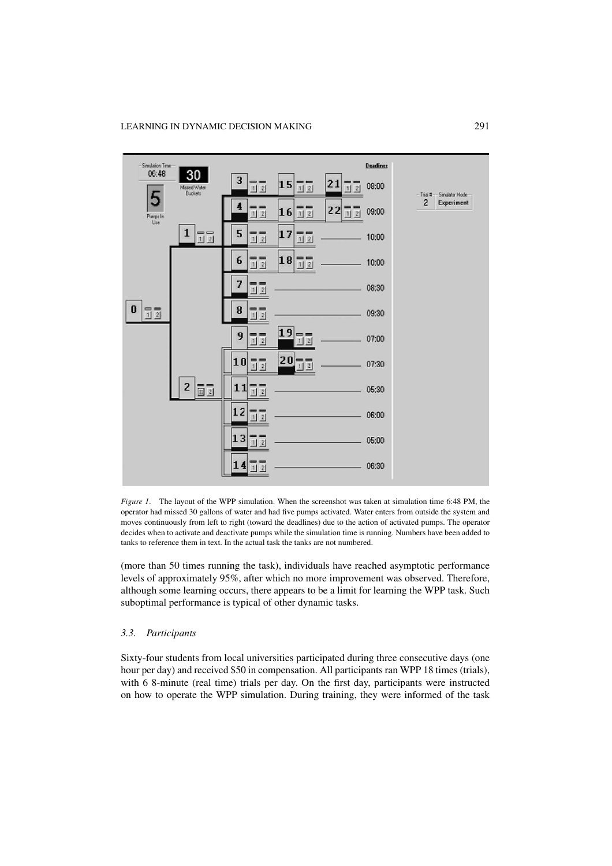

*Figure 1*. The layout of the WPP simulation. When the screenshot was taken at simulation time 6:48 PM, the operator had missed 30 gallons of water and had five pumps activated. Water enters from outside the system and moves continuously from left to right (toward the deadlines) due to the action of activated pumps. The operator decides when to activate and deactivate pumps while the simulation time is running. Numbers have been added to tanks to reference them in text. In the actual task the tanks are not numbered.

(more than 50 times running the task), individuals have reached asymptotic performance levels of approximately 95%, after which no more improvement was observed. Therefore, although some learning occurs, there appears to be a limit for learning the WPP task. Such suboptimal performance is typical of other dynamic tasks.

## *3.3. Participants*

Sixty-four students from local universities participated during three consecutive days (one hour per day) and received \$50 in compensation. All participants ran WPP 18 times (trials), with 6 8-minute (real time) trials per day. On the first day, participants were instructed on how to operate the WPP simulation. During training, they were informed of the task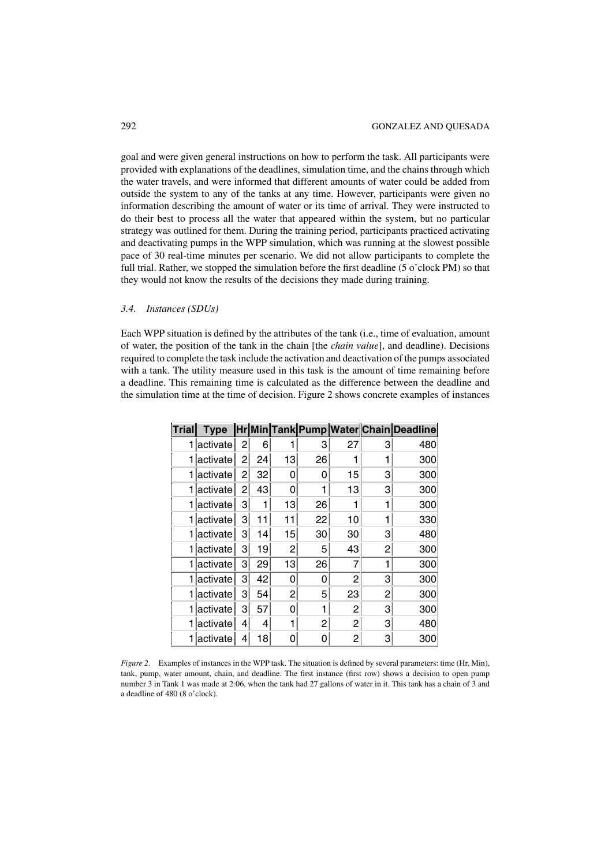goal and were given general instructions on how to perform the task. All participants were provided with explanations of the deadlines, simulation time, and the chains through which the water travels, and were informed that different amounts of water could be added from outside the system to any of the tanks at any time. However, participants were given no information describing the amount of water or its time of arrival. They were instructed to do their best to process all the water that appeared within the system, but no particular strategy was outlined for them. During the training period, participants practiced activating and deactivating pumps in the WPP simulation, which was running at the slowest possible pace of 30 real-time minutes per scenario. We did not allow participants to complete the full trial. Rather, we stopped the simulation before the first deadline (5 o'clock PM) so that they would not know the results of the decisions they made during training.

# *3.4. Instances (SDUs)*

Each WPP situation is defined by the attributes of the tank (i.e., time of evaluation, amount of water, the position of the tank in the chain [the *chain value*], and deadline). Decisions required to complete the task include the activation and deactivation of the pumps associated with a tank. The utility measure used in this task is the amount of time remaining before a deadline. This remaining time is calculated as the difference between the deadline and the simulation time at the time of decision. Figure 2 shows concrete examples of instances

| <b>Trial</b> | <b>Type</b> |   |    |                |    |                |   | Hr Min Tank Pump Water Chain Deadline |
|--------------|-------------|---|----|----------------|----|----------------|---|---------------------------------------|
| 1            | activate    | 2 | 6  |                | 3  | 27             | 3 | 480                                   |
| 1            | activate    | 2 | 24 | 13             | 26 |                | 1 | 300                                   |
| 1            | activate    | 2 | 32 | 0              | 0  | 15             | 3 | 300                                   |
| 1            | activate    | 2 | 43 | 0              | 1  | 13             | 3 | 300                                   |
| 1            | activate    | 3 | 1  | 13             | 26 | 1              | 1 | 300                                   |
| 1            | activate    | 3 | 11 | 11             | 22 | 10             | 1 | 330                                   |
| 1            | activate    | 3 | 14 | 15             | 30 | 30             | 3 | 480                                   |
| 1            | activate    | 3 | 19 | 2              | 5  | 43             | 2 | 300                                   |
| 1            | activate    | 3 | 29 | 13             | 26 | 7              | 1 | 300                                   |
| 1            | activate    | 3 | 42 | 0              | 0  | 2              | 3 | 300                                   |
| 1            | activate    | 3 | 54 | $\overline{c}$ | 5  | 23             | 2 | 300                                   |
| 1            | activate    | 3 | 57 | 0              | 1  | 2              | 3 | 300                                   |
| 1            | activate    | 4 | 4  | 1              | 2  | $\overline{c}$ | 3 | 480                                   |
|              | activate    | 4 | 18 | 0              | 0  | 2              | 3 | 300                                   |

*Figure 2.* Examples of instances in the WPP task. The situation is defined by several parameters: time (Hr, Min), tank, pump, water amount, chain, and deadline. The first instance (first row) shows a decision to open pump number 3 in Tank 1 was made at 2:06, when the tank had 27 gallons of water in it. This tank has a chain of 3 and a deadline of 480 (8 o'clock).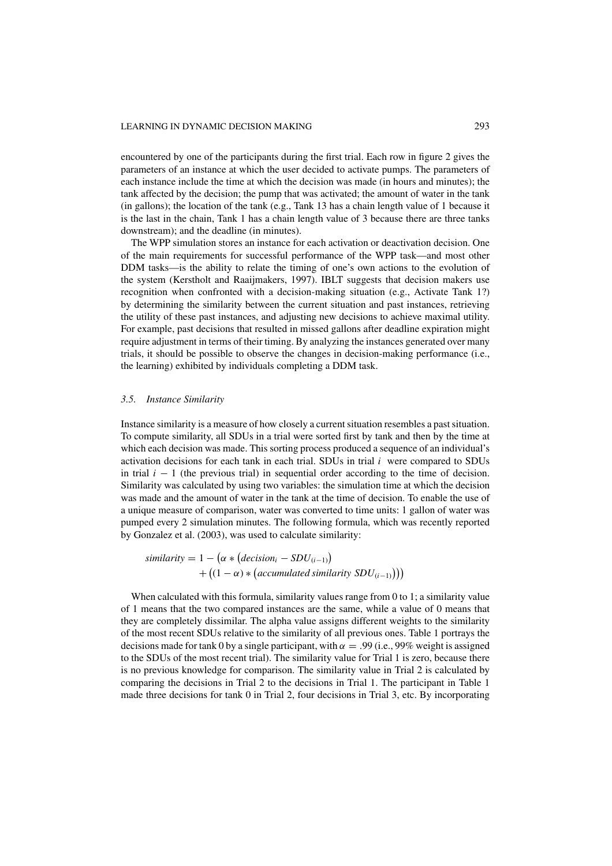encountered by one of the participants during the first trial. Each row in figure 2 gives the parameters of an instance at which the user decided to activate pumps. The parameters of each instance include the time at which the decision was made (in hours and minutes); the tank affected by the decision; the pump that was activated; the amount of water in the tank (in gallons); the location of the tank (e.g., Tank 13 has a chain length value of 1 because it is the last in the chain, Tank 1 has a chain length value of 3 because there are three tanks downstream); and the deadline (in minutes).

The WPP simulation stores an instance for each activation or deactivation decision. One of the main requirements for successful performance of the WPP task—and most other DDM tasks—is the ability to relate the timing of one's own actions to the evolution of the system (Kerstholt and Raaijmakers, 1997). IBLT suggests that decision makers use recognition when confronted with a decision-making situation (e.g., Activate Tank 1?) by determining the similarity between the current situation and past instances, retrieving the utility of these past instances, and adjusting new decisions to achieve maximal utility. For example, past decisions that resulted in missed gallons after deadline expiration might require adjustment in terms of their timing. By analyzing the instances generated over many trials, it should be possible to observe the changes in decision-making performance (i.e., the learning) exhibited by individuals completing a DDM task.

# *3.5. Instance Similarity*

Instance similarity is a measure of how closely a current situation resembles a past situation. To compute similarity, all SDUs in a trial were sorted first by tank and then by the time at which each decision was made. This sorting process produced a sequence of an individual's activation decisions for each tank in each trial. SDUs in trial *i* were compared to SDUs in trial *i* − 1 (the previous trial) in sequential order according to the time of decision. Similarity was calculated by using two variables: the simulation time at which the decision was made and the amount of water in the tank at the time of decision. To enable the use of a unique measure of comparison, water was converted to time units: 1 gallon of water was pumped every 2 simulation minutes. The following formula, which was recently reported by Gonzalez et al. (2003), was used to calculate similarity:

 $s$ *imilarity* = 1 – ( $\alpha * (decision_i - SDU_{(i-1)})$  $+ ((1 - \alpha) * (accumulated similarity SDU_{(i-1)})))$ 

When calculated with this formula, similarity values range from 0 to 1; a similarity value of 1 means that the two compared instances are the same, while a value of 0 means that they are completely dissimilar. The alpha value assigns different weights to the similarity of the most recent SDUs relative to the similarity of all previous ones. Table 1 portrays the decisions made for tank 0 by a single participant, with  $\alpha = .99$  (i.e., 99% weight is assigned to the SDUs of the most recent trial). The similarity value for Trial 1 is zero, because there is no previous knowledge for comparison. The similarity value in Trial 2 is calculated by comparing the decisions in Trial 2 to the decisions in Trial 1. The participant in Table 1 made three decisions for tank 0 in Trial 2, four decisions in Trial 3, etc. By incorporating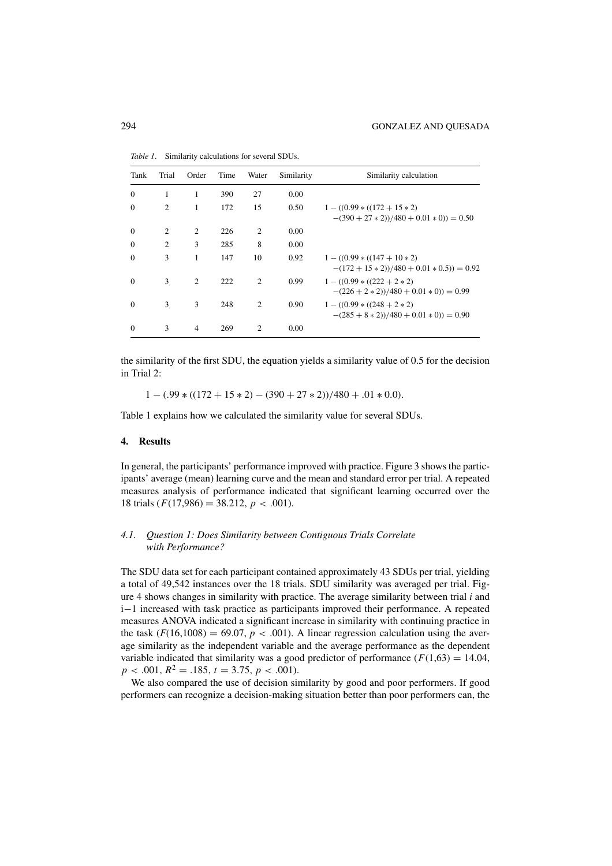| Tank     | Trial         | Order          | Time | Water          | Similarity | Similarity calculation                                                     |
|----------|---------------|----------------|------|----------------|------------|----------------------------------------------------------------------------|
| $\theta$ | 1             | 1              | 390  | 27             | 0.00       |                                                                            |
| $\Omega$ | $\mathcal{L}$ | 1              | 172  | 15             | 0.50       | $1 - ((0.99 * ((172 + 15 * 2))$<br>$-(390+27*2)/(480+0.01*0) = 0.50$       |
| $\Omega$ | 2             | 2              | 226  | $\overline{c}$ | 0.00       |                                                                            |
| $\Omega$ | 2             | 3              | 285  | 8              | 0.00       |                                                                            |
| $\Omega$ | 3             | 1              | 147  | 10             | 0.92       | $1 - ((0.99 * ((147 + 10 * 2))$<br>$-(172+15*2))/480+0.01*0.5) = 0.92$     |
| $\Omega$ | 3             | $\overline{c}$ | 222  | $\overline{c}$ | 0.99       | $1 - ((0.99 * ((222 + 2 * 2))$<br>$-(226 + 2 * 2))/480 + 0.01 * 0) = 0.99$ |
| $\Omega$ | 3             | 3              | 248  | 2              | 0.90       | $1 - ((0.99 * ((248 + 2 * 2))$<br>$-(285 + 8 * 2))/480 + 0.01 * 0) = 0.90$ |
| $\Omega$ | 3             | $\overline{4}$ | 269  | $\overline{c}$ | 0.00       |                                                                            |

*Table 1*. Similarity calculations for several SDUs.

the similarity of the first SDU, the equation yields a similarity value of 0.5 for the decision in Trial 2:

 $1 - (.99 * ((172 + 15 * 2) - (390 + 27 * 2))/480 + .01 * 0.0).$ 

Table 1 explains how we calculated the similarity value for several SDUs.

#### **4. Results**

In general, the participants' performance improved with practice. Figure 3 shows the participants' average (mean) learning curve and the mean and standard error per trial. A repeated measures analysis of performance indicated that significant learning occurred over the 18 trials  $(F(17,986) = 38.212, p < .001)$ .

# *4.1. Question 1: Does Similarity between Contiguous Trials Correlate with Performance?*

The SDU data set for each participant contained approximately 43 SDUs per trial, yielding a total of 49,542 instances over the 18 trials. SDU similarity was averaged per trial. Figure 4 shows changes in similarity with practice. The average similarity between trial *i* and i−1 increased with task practice as participants improved their performance. A repeated measures ANOVA indicated a significant increase in similarity with continuing practice in the task  $(F(16,1008) = 69.07, p < .001)$ . A linear regression calculation using the average similarity as the independent variable and the average performance as the dependent variable indicated that similarity was a good predictor of performance  $(F(1,63) = 14.04,$  $p < .001, R^2 = .185, t = 3.75, p < .001$ .

We also compared the use of decision similarity by good and poor performers. If good performers can recognize a decision-making situation better than poor performers can, the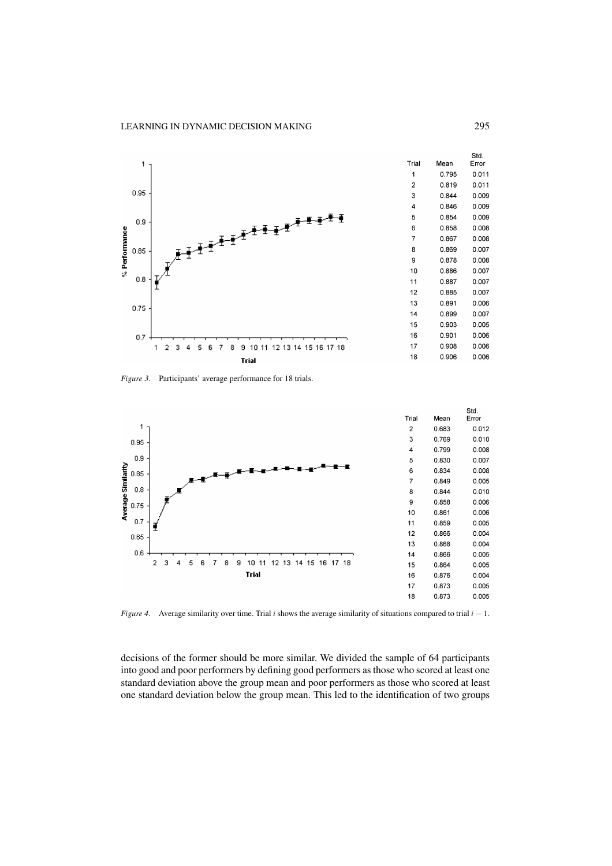

*Figure 3*. Participants' average performance for 18 trials.



*Figure 4*. Average similarity over time. Trial *i* shows the average similarity of situations compared to trial *i* − 1.

decisions of the former should be more similar. We divided the sample of 64 participants into good and poor performers by defining good performers as those who scored at least one standard deviation above the group mean and poor performers as those who scored at least one standard deviation below the group mean. This led to the identification of two groups

Std.

Error

 $0.011$ 

 $0.011$ 

 $0.009$ 

0.009

 $0.009$ 

0.008

0.008

0.007

0.008

0.007

 $0.007$ 

0.007

0.006

0.007

 $0.005$ 

 $0.006$ 

0.006

0.006

Mean

0.795

0.819

0.844

0.846

0.854

0.858

0.867

0.869

0.878

0.886

0.887

0.885

0.891

0.899

 $0.903$ 

0.901

0.908

0.906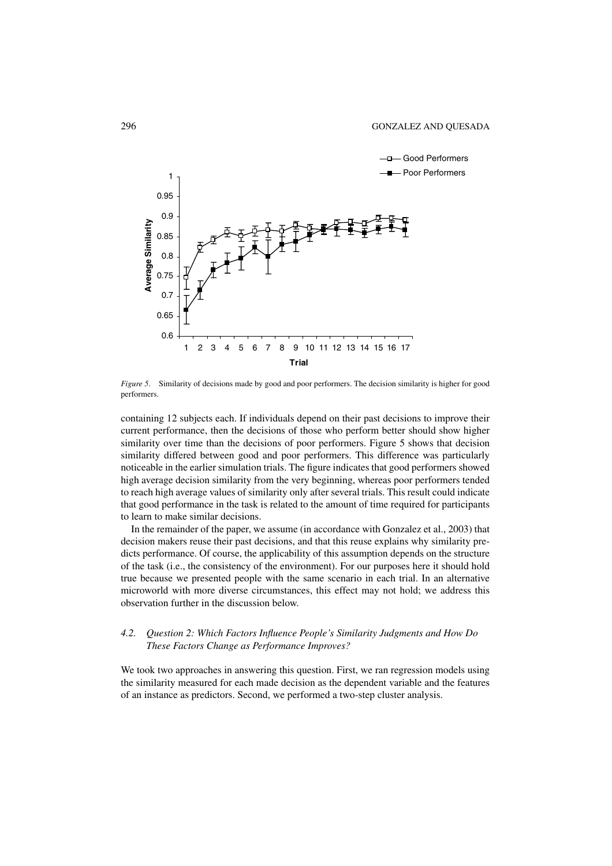

*Figure 5*. Similarity of decisions made by good and poor performers. The decision similarity is higher for good performers.

containing 12 subjects each. If individuals depend on their past decisions to improve their current performance, then the decisions of those who perform better should show higher similarity over time than the decisions of poor performers. Figure 5 shows that decision similarity differed between good and poor performers. This difference was particularly noticeable in the earlier simulation trials. The figure indicates that good performers showed high average decision similarity from the very beginning, whereas poor performers tended to reach high average values of similarity only after several trials. This result could indicate that good performance in the task is related to the amount of time required for participants to learn to make similar decisions.

In the remainder of the paper, we assume (in accordance with Gonzalez et al., 2003) that decision makers reuse their past decisions, and that this reuse explains why similarity predicts performance. Of course, the applicability of this assumption depends on the structure of the task (i.e., the consistency of the environment). For our purposes here it should hold true because we presented people with the same scenario in each trial. In an alternative microworld with more diverse circumstances, this effect may not hold; we address this observation further in the discussion below.

## *4.2. Question 2: Which Factors Influence People's Similarity Judgments and How Do These Factors Change as Performance Improves?*

We took two approaches in answering this question. First, we ran regression models using the similarity measured for each made decision as the dependent variable and the features of an instance as predictors. Second, we performed a two-step cluster analysis.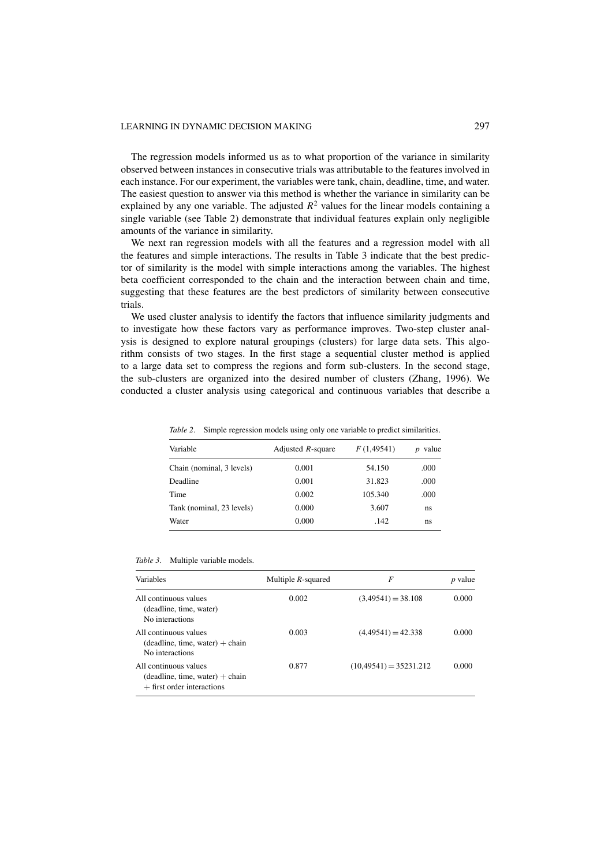## LEARNING IN DYNAMIC DECISION MAKING 297

The regression models informed us as to what proportion of the variance in similarity observed between instances in consecutive trials was attributable to the features involved in each instance. For our experiment, the variables were tank, chain, deadline, time, and water. The easiest question to answer via this method is whether the variance in similarity can be explained by any one variable. The adjusted  $R^2$  values for the linear models containing a single variable (see Table 2) demonstrate that individual features explain only negligible amounts of the variance in similarity.

We next ran regression models with all the features and a regression model with all the features and simple interactions. The results in Table 3 indicate that the best predictor of similarity is the model with simple interactions among the variables. The highest beta coefficient corresponded to the chain and the interaction between chain and time, suggesting that these features are the best predictors of similarity between consecutive trials.

We used cluster analysis to identify the factors that influence similarity judgments and to investigate how these factors vary as performance improves. Two-step cluster analysis is designed to explore natural groupings (clusters) for large data sets. This algorithm consists of two stages. In the first stage a sequential cluster method is applied to a large data set to compress the regions and form sub-clusters. In the second stage, the sub-clusters are organized into the desired number of clusters (Zhang, 1996). We conducted a cluster analysis using categorical and continuous variables that describe a

|  | Table 2. Simple regression models using only one variable to predict similarities. |  |
|--|------------------------------------------------------------------------------------|--|
|--|------------------------------------------------------------------------------------|--|

| Variable                  | Adjusted $R$ -square | F(1, 49541) | value<br>$\boldsymbol{v}$ |
|---------------------------|----------------------|-------------|---------------------------|
| Chain (nominal, 3 levels) | 0.001                | 54.150      | .000                      |
| Deadline                  | 0.001                | 31.823      | .000                      |
| Time                      | 0.002                | 105.340     | .000                      |
| Tank (nominal, 23 levels) | 0.000                | 3.607       | ns                        |
| Water                     | 0.000                | .142        | ns                        |

| Table 3. | Multiple variable models. |
|----------|---------------------------|
|----------|---------------------------|

| Variables                                                                                  | Multiple R-squared | F                        | <i>p</i> value |
|--------------------------------------------------------------------------------------------|--------------------|--------------------------|----------------|
| All continuous values<br>(deadline, time, water)<br>No interactions                        | 0.002              | $(3,49541) = 38.108$     | 0.000          |
| All continuous values<br>$(deadline, time, water) + chain$<br>No interactions              | 0.003              | $(4,49541) = 42.338$     | 0.000          |
| All continuous values<br>$(deadline, time, water) + chain$<br>$+$ first order interactions | 0.877              | $(10,49541) = 35231.212$ | 0.000          |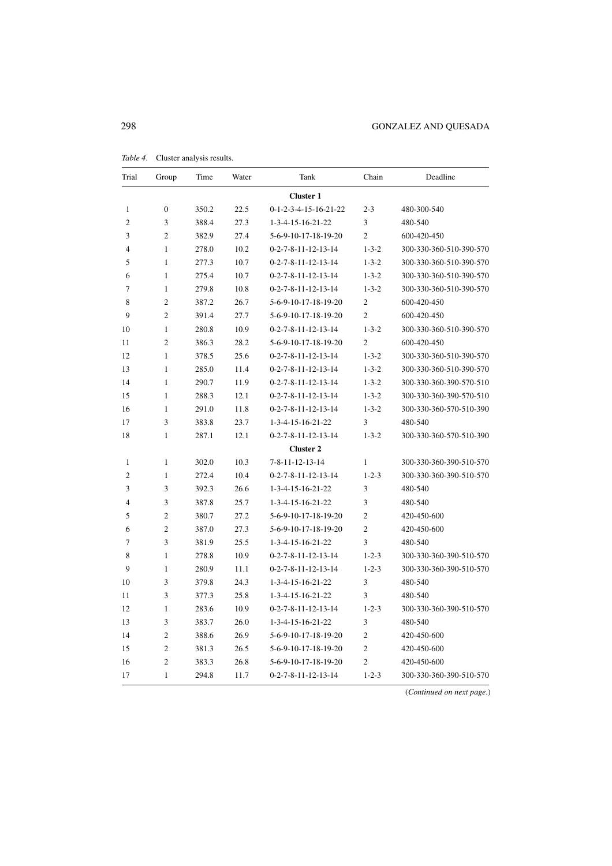| Trial          | Group            | Time  | Water | Tank                                | Chain          | Deadline                |
|----------------|------------------|-------|-------|-------------------------------------|----------------|-------------------------|
|                |                  |       |       | <b>Cluster 1</b>                    |                |                         |
| 1              | $\boldsymbol{0}$ | 350.2 | 22.5  | $0-1-2-3-4-15-16-21-22$             | $2 - 3$        | 480-300-540             |
| 2              | 3                | 388.4 | 27.3  | $1-3-4-15-16-21-22$                 | 3              | 480-540                 |
| 3              | $\overline{2}$   | 382.9 | 27.4  | 5-6-9-10-17-18-19-20                | $\overline{2}$ | 600-420-450             |
| $\overline{4}$ | $\mathbf{1}$     | 278.0 | 10.2  | $0 - 2 - 7 - 8 - 11 - 12 - 13 - 14$ | $1 - 3 - 2$    | 300-330-360-510-390-570 |
| 5              | 1                | 277.3 | 10.7  | $0 - 2 - 7 - 8 - 11 - 12 - 13 - 14$ | $1 - 3 - 2$    | 300-330-360-510-390-570 |
| 6              | $\mathbf{1}$     | 275.4 | 10.7  | $0 - 2 - 7 - 8 - 11 - 12 - 13 - 14$ | $1 - 3 - 2$    | 300-330-360-510-390-570 |
| 7              | 1                | 279.8 | 10.8  | $0 - 2 - 7 - 8 - 11 - 12 - 13 - 14$ | $1 - 3 - 2$    | 300-330-360-510-390-570 |
| 8              | $\overline{2}$   | 387.2 | 26.7  | 5-6-9-10-17-18-19-20                | $\overline{2}$ | 600-420-450             |
| 9              | $\overline{c}$   | 391.4 | 27.7  | 5-6-9-10-17-18-19-20                | $\overline{c}$ | 600-420-450             |
| 10             | 1                | 280.8 | 10.9  | $0 - 2 - 7 - 8 - 11 - 12 - 13 - 14$ | $1 - 3 - 2$    | 300-330-360-510-390-570 |
| 11             | $\overline{c}$   | 386.3 | 28.2  | 5-6-9-10-17-18-19-20                | $\overline{c}$ | 600-420-450             |
| 12             | $\mathbf{1}$     | 378.5 | 25.6  | $0 - 2 - 7 - 8 - 11 - 12 - 13 - 14$ | $1 - 3 - 2$    | 300-330-360-510-390-570 |
| 13             | $\mathbf{1}$     | 285.0 | 11.4  | $0 - 2 - 7 - 8 - 11 - 12 - 13 - 14$ | $1 - 3 - 2$    | 300-330-360-510-390-570 |
| 14             | $\mathbf{1}$     | 290.7 | 11.9  | $0 - 2 - 7 - 8 - 11 - 12 - 13 - 14$ | $1 - 3 - 2$    | 300-330-360-390-570-510 |
| 15             | 1                | 288.3 | 12.1  | $0 - 2 - 7 - 8 - 11 - 12 - 13 - 14$ | $1 - 3 - 2$    | 300-330-360-390-570-510 |
| 16             | $\mathbf{1}$     | 291.0 | 11.8  | $0 - 2 - 7 - 8 - 11 - 12 - 13 - 14$ | $1 - 3 - 2$    | 300-330-360-570-510-390 |
| 17             | 3                | 383.8 | 23.7  | $1 - 3 - 4 - 15 - 16 - 21 - 22$     | 3              | 480-540                 |
| 18             | $\mathbf{1}$     | 287.1 | 12.1  | $0 - 2 - 7 - 8 - 11 - 12 - 13 - 14$ | $1 - 3 - 2$    | 300-330-360-570-510-390 |
|                |                  |       |       | <b>Cluster 2</b>                    |                |                         |
| 1              | $\mathbf{1}$     | 302.0 | 10.3  | 7-8-11-12-13-14                     | 1              | 300-330-360-390-510-570 |
| $\overline{c}$ | $\mathbf{1}$     | 272.4 | 10.4  | $0 - 2 - 7 - 8 - 11 - 12 - 13 - 14$ | $1 - 2 - 3$    | 300-330-360-390-510-570 |
| 3              | 3                | 392.3 | 26.6  | $1-3-4-15-16-21-22$                 | 3              | 480-540                 |
| $\overline{4}$ | 3                | 387.8 | 25.7  | 1-3-4-15-16-21-22                   | 3              | 480-540                 |
| 5              | $\overline{2}$   | 380.7 | 27.2  | 5-6-9-10-17-18-19-20                | $\overline{2}$ | 420-450-600             |
| 6              | $\overline{c}$   | 387.0 | 27.3  | 5-6-9-10-17-18-19-20                | $\overline{c}$ | 420-450-600             |
| 7              | 3                | 381.9 | 25.5  | 1-3-4-15-16-21-22                   | 3              | 480-540                 |
| 8              | 1                | 278.8 | 10.9  | $0 - 2 - 7 - 8 - 11 - 12 - 13 - 14$ | $1 - 2 - 3$    | 300-330-360-390-510-570 |
| 9              | $\mathbf{1}$     | 280.9 | 11.1  | $0 - 2 - 7 - 8 - 11 - 12 - 13 - 14$ | $1 - 2 - 3$    | 300-330-360-390-510-570 |
| 10             | 3                | 379.8 | 24.3  | 1-3-4-15-16-21-22                   | 3              | 480-540                 |
| 11             | 3                | 377.3 | 25.8  | $1-3-4-15-16-21-22$                 | 3              | 480-540                 |
| 12             | $\mathbf{1}$     | 283.6 | 10.9  | $0 - 2 - 7 - 8 - 11 - 12 - 13 - 14$ | $1 - 2 - 3$    | 300-330-360-390-510-570 |
| 13             | 3                | 383.7 | 26.0  | 1-3-4-15-16-21-22                   | 3              | 480-540                 |
| 14             | $\mathfrak{2}$   | 388.6 | 26.9  | 5-6-9-10-17-18-19-20                | $\overline{2}$ | 420-450-600             |
| 15             | $\overline{c}$   | 381.3 | 26.5  | 5-6-9-10-17-18-19-20                | $\overline{2}$ | 420-450-600             |
| 16             | $\overline{c}$   | 383.3 | 26.8  | 5-6-9-10-17-18-19-20                | $\overline{2}$ | 420-450-600             |
| 17             | $\mathbf{1}$     | 294.8 | 11.7  | $0 - 2 - 7 - 8 - 11 - 12 - 13 - 14$ | $1 - 2 - 3$    | 300-330-360-390-510-570 |

*Table 4*. Cluster analysis results.

(*Continued on next page*.)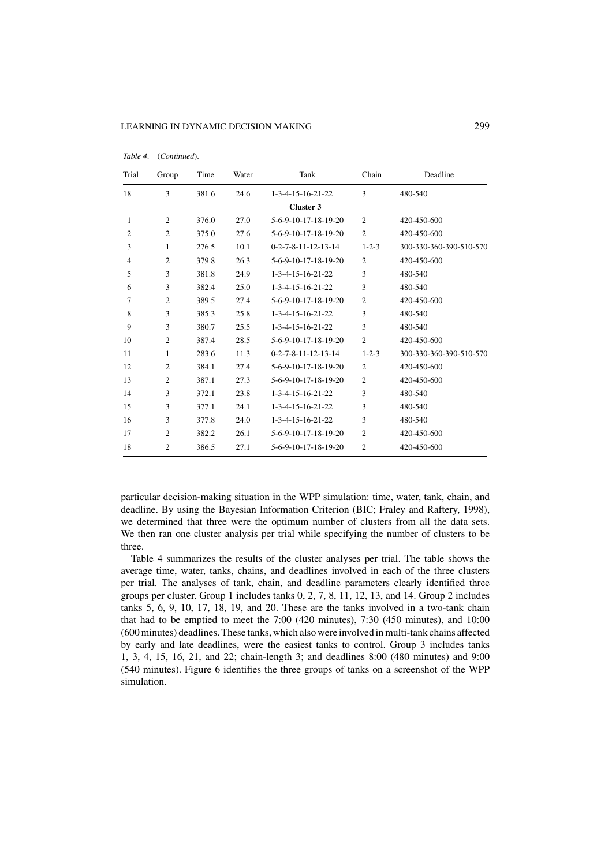| 3<br>24.6<br>$1-3-4-15-16-21-22$<br>18<br>381.6<br>Cluster 3<br>2<br>376.0<br>27.0<br>5-6-9-10-17-18-19-20<br>$\mathbf{1}$ | 3<br>480-540<br>$\overline{c}$<br>420-450-600<br>$\overline{c}$<br>420-450-600 |
|----------------------------------------------------------------------------------------------------------------------------|--------------------------------------------------------------------------------|
|                                                                                                                            |                                                                                |
|                                                                                                                            |                                                                                |
|                                                                                                                            |                                                                                |
| $\overline{2}$<br>$\overline{2}$<br>375.0<br>27.6<br>5-6-9-10-17-18-19-20                                                  |                                                                                |
| 3<br>10.1<br>276.5<br>$0 - 2 - 7 - 8 - 11 - 12 - 13 - 14$<br>1                                                             | $1 - 2 - 3$<br>300-330-360-390-510-570                                         |
| 26.3<br>$\overline{2}$<br>379.8<br>5-6-9-10-17-18-19-20<br>4                                                               | 2<br>420-450-600                                                               |
| 5<br>3<br>1-3-4-15-16-21-22<br>381.8<br>24.9                                                                               | 3<br>480-540                                                                   |
| 3<br>25.0<br>382.4<br>$1-3-4-15-16-21-22$<br>6                                                                             | 3<br>480-540                                                                   |
| $\overline{2}$<br>389.5<br>5-6-9-10-17-18-19-20<br>7<br>27.4                                                               | $\overline{c}$<br>420-450-600                                                  |
| 8<br>3<br>385.3<br>25.8<br>$1-3-4-15-16-21-22$                                                                             | 3<br>480-540                                                                   |
| 9<br>3<br>380.7<br>25.5<br>$1-3-4-15-16-21-22$                                                                             | 3<br>480-540                                                                   |
| 10<br>$\overline{2}$<br>28.5<br>5-6-9-10-17-18-19-20<br>387.4                                                              | 2<br>420-450-600                                                               |
| $0 - 2 - 7 - 8 - 11 - 12 - 13 - 14$<br>11<br>1<br>283.6<br>11.3                                                            | $1 - 2 - 3$<br>300-330-360-390-510-570                                         |
| 12<br>384.1<br>5-6-9-10-17-18-19-20<br>2<br>27.4                                                                           | 2<br>420-450-600                                                               |
| 13<br>$\overline{c}$<br>387.1<br>27.3<br>5-6-9-10-17-18-19-20                                                              | $\overline{c}$<br>420-450-600                                                  |
| 3<br>14<br>372.1<br>23.8<br>$1 - 3 - 4 - 15 - 16 - 21 - 22$                                                                | 3<br>480-540                                                                   |
| 3<br>$1-3-4-15-16-21-22$<br>15<br>377.1<br>24.1                                                                            | 3<br>480-540                                                                   |
| 3<br>24.0<br>16<br>377.8<br>$1-3-4-15-16-21-22$                                                                            | 3<br>480-540                                                                   |
| 17<br>$\overline{2}$<br>382.2<br>26.1<br>5-6-9-10-17-18-19-20                                                              | 420-450-600<br>2                                                               |
| 18<br>$\overline{c}$<br>386.5<br>27.1<br>5-6-9-10-17-18-19-20                                                              | $\overline{c}$<br>420-450-600                                                  |

*Table 4*. (*Continued*).

particular decision-making situation in the WPP simulation: time, water, tank, chain, and deadline. By using the Bayesian Information Criterion (BIC; Fraley and Raftery, 1998), we determined that three were the optimum number of clusters from all the data sets. We then ran one cluster analysis per trial while specifying the number of clusters to be three.

Table 4 summarizes the results of the cluster analyses per trial. The table shows the average time, water, tanks, chains, and deadlines involved in each of the three clusters per trial. The analyses of tank, chain, and deadline parameters clearly identified three groups per cluster. Group 1 includes tanks 0, 2, 7, 8, 11, 12, 13, and 14. Group 2 includes tanks 5, 6, 9, 10, 17, 18, 19, and 20. These are the tanks involved in a two-tank chain that had to be emptied to meet the 7:00 (420 minutes), 7:30 (450 minutes), and 10:00 (600 minutes) deadlines. These tanks, which also were involved in multi-tank chains affected by early and late deadlines, were the easiest tanks to control. Group 3 includes tanks 1, 3, 4, 15, 16, 21, and 22; chain-length 3; and deadlines 8:00 (480 minutes) and 9:00 (540 minutes). Figure 6 identifies the three groups of tanks on a screenshot of the WPP simulation.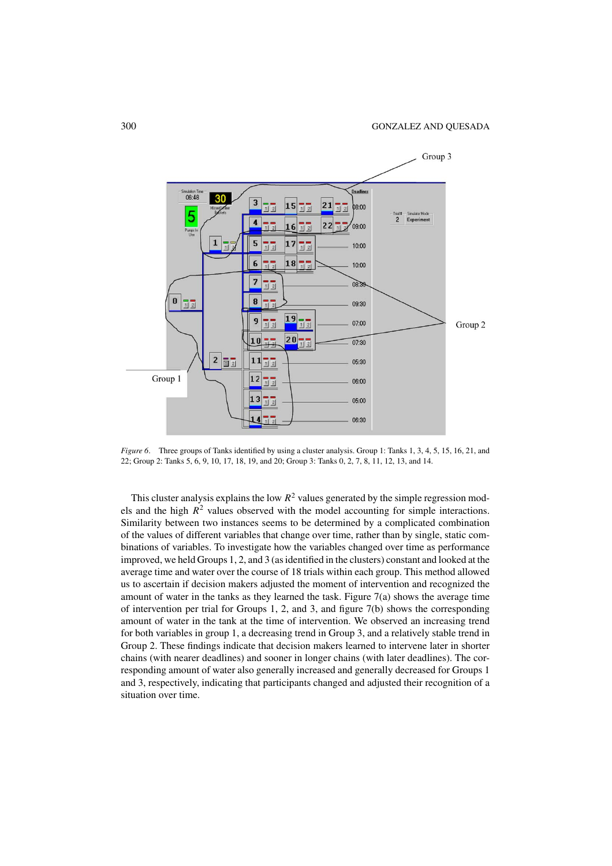

*Figure 6.* Three groups of Tanks identified by using a cluster analysis. Group 1: Tanks 1, 3, 4, 5, 15, 16, 21, and 22; Group 2: Tanks 5, 6, 9, 10, 17, 18, 19, and 20; Group 3: Tanks 0, 2, 7, 8, 11, 12, 13, and 14.

This cluster analysis explains the low  $R^2$  values generated by the simple regression models and the high  $R^2$  values observed with the model accounting for simple interactions. Similarity between two instances seems to be determined by a complicated combination of the values of different variables that change over time, rather than by single, static combinations of variables. To investigate how the variables changed over time as performance improved, we held Groups 1, 2, and 3 (as identified in the clusters) constant and looked at the average time and water over the course of 18 trials within each group. This method allowed us to ascertain if decision makers adjusted the moment of intervention and recognized the amount of water in the tanks as they learned the task. Figure 7(a) shows the average time of intervention per trial for Groups 1, 2, and 3, and figure 7(b) shows the corresponding amount of water in the tank at the time of intervention. We observed an increasing trend for both variables in group 1, a decreasing trend in Group 3, and a relatively stable trend in Group 2. These findings indicate that decision makers learned to intervene later in shorter chains (with nearer deadlines) and sooner in longer chains (with later deadlines). The corresponding amount of water also generally increased and generally decreased for Groups 1 and 3, respectively, indicating that participants changed and adjusted their recognition of a situation over time.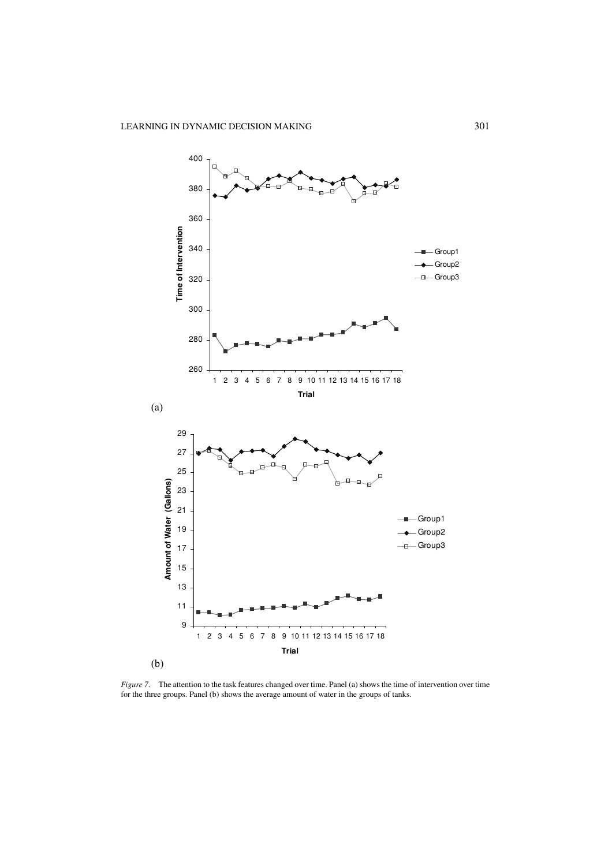

*Figure 7*. The attention to the task features changed over time. Panel (a) shows the time of intervention over time for the three groups. Panel (b) shows the average amount of water in the groups of tanks.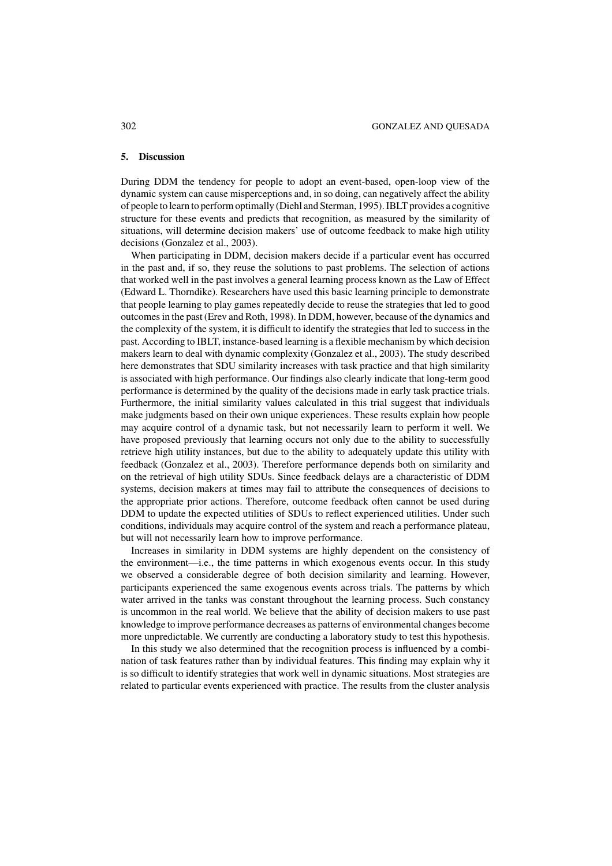#### **5. Discussion**

During DDM the tendency for people to adopt an event-based, open-loop view of the dynamic system can cause misperceptions and, in so doing, can negatively affect the ability of people to learn to perform optimally (Diehl and Sterman, 1995). IBLT provides a cognitive structure for these events and predicts that recognition, as measured by the similarity of situations, will determine decision makers' use of outcome feedback to make high utility decisions (Gonzalez et al., 2003).

When participating in DDM, decision makers decide if a particular event has occurred in the past and, if so, they reuse the solutions to past problems. The selection of actions that worked well in the past involves a general learning process known as the Law of Effect (Edward L. Thorndike). Researchers have used this basic learning principle to demonstrate that people learning to play games repeatedly decide to reuse the strategies that led to good outcomes in the past (Erev and Roth, 1998). In DDM, however, because of the dynamics and the complexity of the system, it is difficult to identify the strategies that led to success in the past. According to IBLT, instance-based learning is a flexible mechanism by which decision makers learn to deal with dynamic complexity (Gonzalez et al., 2003). The study described here demonstrates that SDU similarity increases with task practice and that high similarity is associated with high performance. Our findings also clearly indicate that long-term good performance is determined by the quality of the decisions made in early task practice trials. Furthermore, the initial similarity values calculated in this trial suggest that individuals make judgments based on their own unique experiences. These results explain how people may acquire control of a dynamic task, but not necessarily learn to perform it well. We have proposed previously that learning occurs not only due to the ability to successfully retrieve high utility instances, but due to the ability to adequately update this utility with feedback (Gonzalez et al., 2003). Therefore performance depends both on similarity and on the retrieval of high utility SDUs. Since feedback delays are a characteristic of DDM systems, decision makers at times may fail to attribute the consequences of decisions to the appropriate prior actions. Therefore, outcome feedback often cannot be used during DDM to update the expected utilities of SDUs to reflect experienced utilities. Under such conditions, individuals may acquire control of the system and reach a performance plateau, but will not necessarily learn how to improve performance.

Increases in similarity in DDM systems are highly dependent on the consistency of the environment—i.e., the time patterns in which exogenous events occur. In this study we observed a considerable degree of both decision similarity and learning. However, participants experienced the same exogenous events across trials. The patterns by which water arrived in the tanks was constant throughout the learning process. Such constancy is uncommon in the real world. We believe that the ability of decision makers to use past knowledge to improve performance decreases as patterns of environmental changes become more unpredictable. We currently are conducting a laboratory study to test this hypothesis.

In this study we also determined that the recognition process is influenced by a combination of task features rather than by individual features. This finding may explain why it is so difficult to identify strategies that work well in dynamic situations. Most strategies are related to particular events experienced with practice. The results from the cluster analysis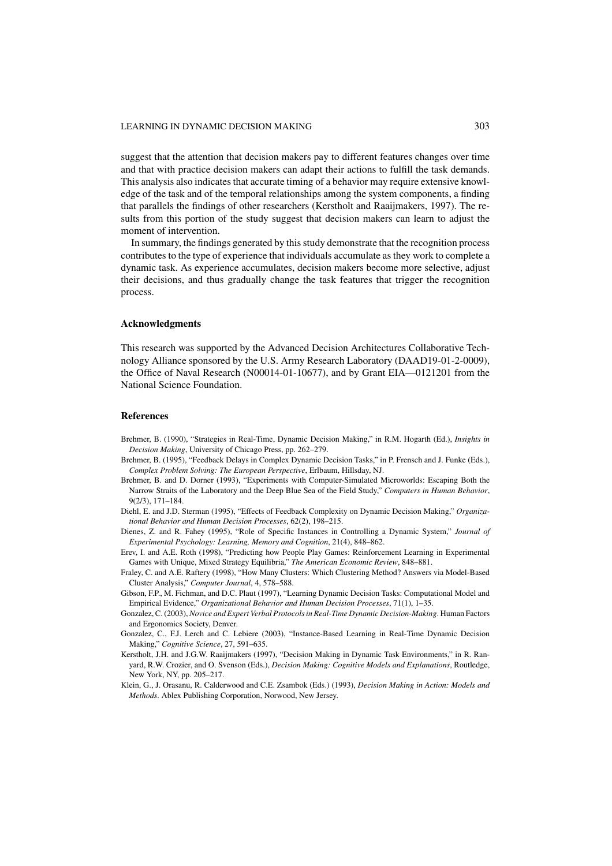suggest that the attention that decision makers pay to different features changes over time and that with practice decision makers can adapt their actions to fulfill the task demands. This analysis also indicates that accurate timing of a behavior may require extensive knowledge of the task and of the temporal relationships among the system components, a finding that parallels the findings of other researchers (Kerstholt and Raaijmakers, 1997). The results from this portion of the study suggest that decision makers can learn to adjust the moment of intervention.

In summary, the findings generated by this study demonstrate that the recognition process contributes to the type of experience that individuals accumulate as they work to complete a dynamic task. As experience accumulates, decision makers become more selective, adjust their decisions, and thus gradually change the task features that trigger the recognition process.

## **Acknowledgments**

This research was supported by the Advanced Decision Architectures Collaborative Technology Alliance sponsored by the U.S. Army Research Laboratory (DAAD19-01-2-0009), the Office of Naval Research (N00014-01-10677), and by Grant EIA—0121201 from the National Science Foundation.

### **References**

- Brehmer, B. (1990), "Strategies in Real-Time, Dynamic Decision Making," in R.M. Hogarth (Ed.), *Insights in Decision Making*, University of Chicago Press, pp. 262–279.
- Brehmer, B. (1995), "Feedback Delays in Complex Dynamic Decision Tasks," in P. Frensch and J. Funke (Eds.), *Complex Problem Solving: The European Perspective*, Erlbaum, Hillsday, NJ.
- Brehmer, B. and D. Dorner (1993), "Experiments with Computer-Simulated Microworlds: Escaping Both the Narrow Straits of the Laboratory and the Deep Blue Sea of the Field Study," *Computers in Human Behavior*, 9(2/3), 171–184.
- Diehl, E. and J.D. Sterman (1995), "Effects of Feedback Complexity on Dynamic Decision Making," *Organizational Behavior and Human Decision Processes*, 62(2), 198–215.
- Dienes, Z. and R. Fahey (1995), "Role of Specific Instances in Controlling a Dynamic System," *Journal of Experimental Psychology: Learning, Memory and Cognition*, 21(4), 848–862.
- Erev, I. and A.E. Roth (1998), "Predicting how People Play Games: Reinforcement Learning in Experimental Games with Unique, Mixed Strategy Equilibria," *The American Economic Review*, 848–881.
- Fraley, C. and A.E. Raftery (1998), "How Many Clusters: Which Clustering Method? Answers via Model-Based Cluster Analysis," *Computer Journal*, 4, 578–588.
- Gibson, F.P., M. Fichman, and D.C. Plaut (1997), "Learning Dynamic Decision Tasks: Computational Model and Empirical Evidence," *Organizational Behavior and Human Decision Processes*, 71(1), 1–35.
- Gonzalez, C. (2003), *Novice and Expert Verbal Protocols in Real-Time Dynamic Decision-Making*. Human Factors and Ergonomics Society, Denver.
- Gonzalez, C., F.J. Lerch and C. Lebiere (2003), "Instance-Based Learning in Real-Time Dynamic Decision Making," *Cognitive Science*, 27, 591–635.
- Kerstholt, J.H. and J.G.W. Raaijmakers (1997), "Decision Making in Dynamic Task Environments," in R. Ranyard, R.W. Crozier, and O. Svenson (Eds.), *Decision Making: Cognitive Models and Explanations*, Routledge, New York, NY, pp. 205–217.
- Klein, G., J. Orasanu, R. Calderwood and C.E. Zsambok (Eds.) (1993), *Decision Making in Action: Models and Methods*. Ablex Publishing Corporation, Norwood, New Jersey.